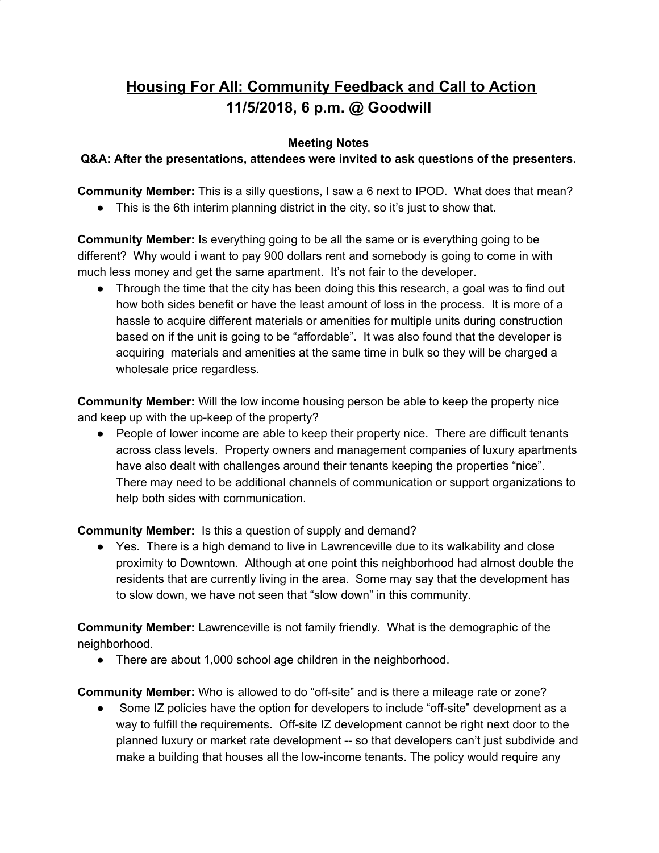## **Housing For All: Community Feedback and Call to Action 11/5/2018, 6 p.m. @ Goodwill**

## **Meeting Notes**

## **Q&A: After the presentations, attendees were invited to ask questions of the presenters.**

**Community Member:** This is a silly questions, I saw a 6 next to IPOD. What does that mean?

• This is the 6th interim planning district in the city, so it's just to show that.

**Community Member:** Is everything going to be all the same or is everything going to be different? Why would i want to pay 900 dollars rent and somebody is going to come in with much less money and get the same apartment. It's not fair to the developer.

• Through the time that the city has been doing this this research, a goal was to find out how both sides benefit or have the least amount of loss in the process. It is more of a hassle to acquire different materials or amenities for multiple units during construction based on if the unit is going to be "affordable". It was also found that the developer is acquiring materials and amenities at the same time in bulk so they will be charged a wholesale price regardless.

**Community Member:** Will the low income housing person be able to keep the property nice and keep up with the up-keep of the property?

● People of lower income are able to keep their property nice. There are difficult tenants across class levels. Property owners and management companies of luxury apartments have also dealt with challenges around their tenants keeping the properties "nice". There may need to be additional channels of communication or support organizations to help both sides with communication.

**Community Member:** Is this a question of supply and demand?

● Yes. There is a high demand to live in Lawrenceville due to its walkability and close proximity to Downtown. Although at one point this neighborhood had almost double the residents that are currently living in the area. Some may say that the development has to slow down, we have not seen that "slow down" in this community.

**Community Member:** Lawrenceville is not family friendly. What is the demographic of the neighborhood.

• There are about 1,000 school age children in the neighborhood.

**Community Member:** Who is allowed to do "off-site" and is there a mileage rate or zone?

• Some IZ policies have the option for developers to include "off-site" development as a way to fulfill the requirements. Off-site IZ development cannot be right next door to the planned luxury or market rate development -- so that developers can't just subdivide and make a building that houses all the low-income tenants. The policy would require any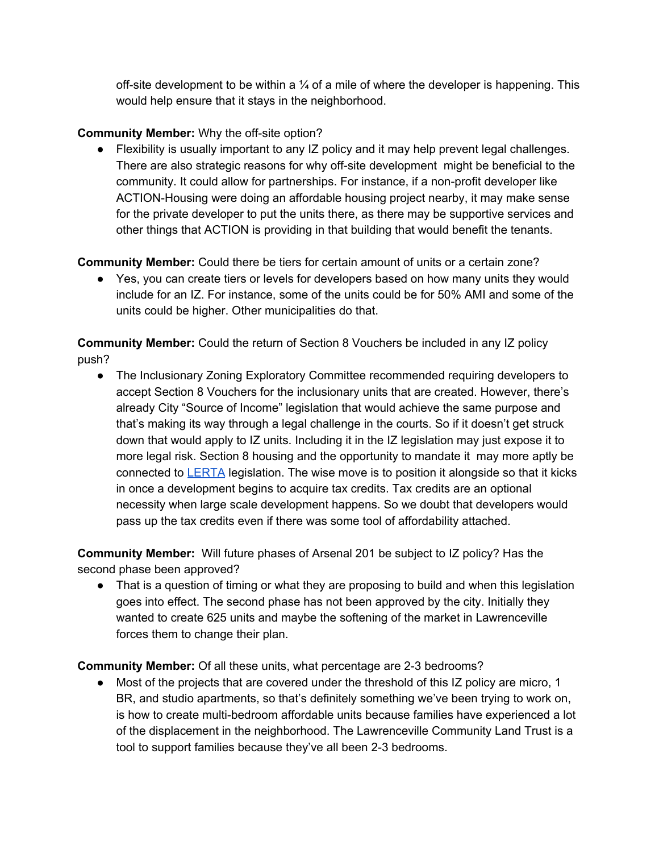off-site development to be within a  $\frac{1}{4}$  of a mile of where the developer is happening. This would help ensure that it stays in the neighborhood.

## **Community Member:** Why the off-site option?

● Flexibility is usually important to any IZ policy and it may help prevent legal challenges. There are also strategic reasons for why off-site development might be beneficial to the community. It could allow for partnerships. For instance, if a non-profit developer like ACTION-Housing were doing an affordable housing project nearby, it may make sense for the private developer to put the units there, as there may be supportive services and other things that ACTION is providing in that building that would benefit the tenants.

**Community Member:** Could there be tiers for certain amount of units or a certain zone?

• Yes, you can create tiers or levels for developers based on how many units they would include for an IZ. For instance, some of the units could be for 50% AMI and some of the units could be higher. Other municipalities do that.

**Community Member:** Could the return of Section 8 Vouchers be included in any IZ policy push?

● The Inclusionary Zoning Exploratory Committee recommended requiring developers to accept Section 8 Vouchers for the inclusionary units that are created. However, there's already City "Source of Income" legislation that would achieve the same purpose and that's making its way through a legal challenge in the courts. So if it doesn't get struck down that would apply to IZ units. Including it in the IZ legislation may just expose it to more legal risk. Section 8 housing and the opportunity to mandate it may more aptly be connected to [LERTA](https://www.ura.org/pages/real-estate-tax-abatement-programs) legislation. The wise move is to position it alongside so that it kicks in once a development begins to acquire tax credits. Tax credits are an optional necessity when large scale development happens. So we doubt that developers would pass up the tax credits even if there was some tool of affordability attached.

**Community Member:** Will future phases of Arsenal 201 be subject to IZ policy? Has the second phase been approved?

● That is a question of timing or what they are proposing to build and when this legislation goes into effect. The second phase has not been approved by the city. Initially they wanted to create 625 units and maybe the softening of the market in Lawrenceville forces them to change their plan.

**Community Member:** Of all these units, what percentage are 2-3 bedrooms?

• Most of the projects that are covered under the threshold of this IZ policy are micro, 1 BR, and studio apartments, so that's definitely something we've been trying to work on, is how to create multi-bedroom affordable units because families have experienced a lot of the displacement in the neighborhood. The Lawrenceville Community Land Trust is a tool to support families because they've all been 2-3 bedrooms.